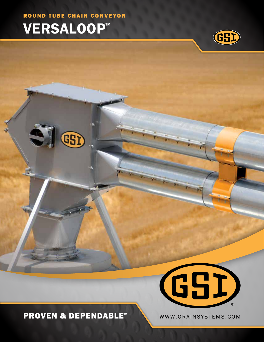ROUND TUBE CHAIN CONVEYOR

GSD

# VERSALOOP™



### PROVEN & DEPENDABLE™ WWW.GRAINSYSTEMS.COM

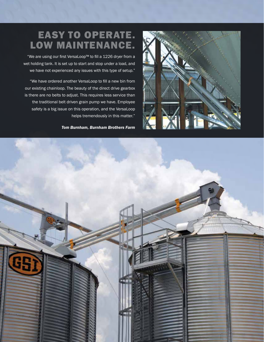## EASY TO OPERATE. LOW MAINTENANCE.

"We are using our first VersaLoop™ to fill a 1226 dryer from a wet holding tank. It is set up to start and stop under a load, and we have not experienced any issues with this type of setup."

"We have ordered another VersaLoop to fill a new bin from our existing chainloop. The beauty of the direct drive gearbox is there are no belts to adjust. This requires less service than the traditional belt driven grain pump we have. Employee safety is a big issue on this operation, and the VersaLoop helps tremendously in this matter."

*Tom Burnham, Burnham Brothers Farm*



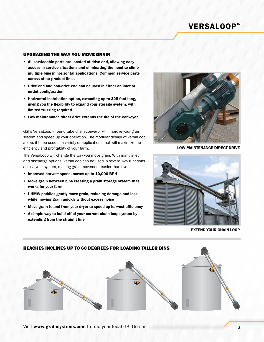### VERSALOOP™

#### UPGRADING THE WAY YOU MOVE GRAIN

- All serviceable parts are located at drive end, allowing easy access in service situations and eliminating the need to climb multiple bins in horizontal applications. Common service parts across other product lines
- Drive end and non-drive end can be used in either an inlet or outlet configuration
- Horizontal installation option, extending up to 325 feet long, giving you the flexibility to expand your storage system, with limited trussing required
- Low maintenance direct drive extends the life of the conveyor

GSI's VersaLoop™ round tube chain conveyor will improve your grain system and speed up your operation. The modular design of VersaLoop allows it to be used in a variety of applications that will maximize the efficiency and profitablity of your farm.

The VersaLoop will change the way you move grain. With many inlet and discharge options, VersaLoop can be used in several key functions across your system, making grain movement easier than ever.

- Improved harvest speed, moves up to 10,000 BPH
- Move grain between bins creating a grain storage system that works for your farm
- UHMW paddles gently move grain, reducing damage and loss, while moving grain quickly without excess noise
- Move grain to and from your dryer to speed up harvest efficiency
- A simple way to build off of your current chain loop system by extending from the straight line



LOW MAINTENANCE DIRECT DRIVE



EXTEND YOUR CHAIN LOOP